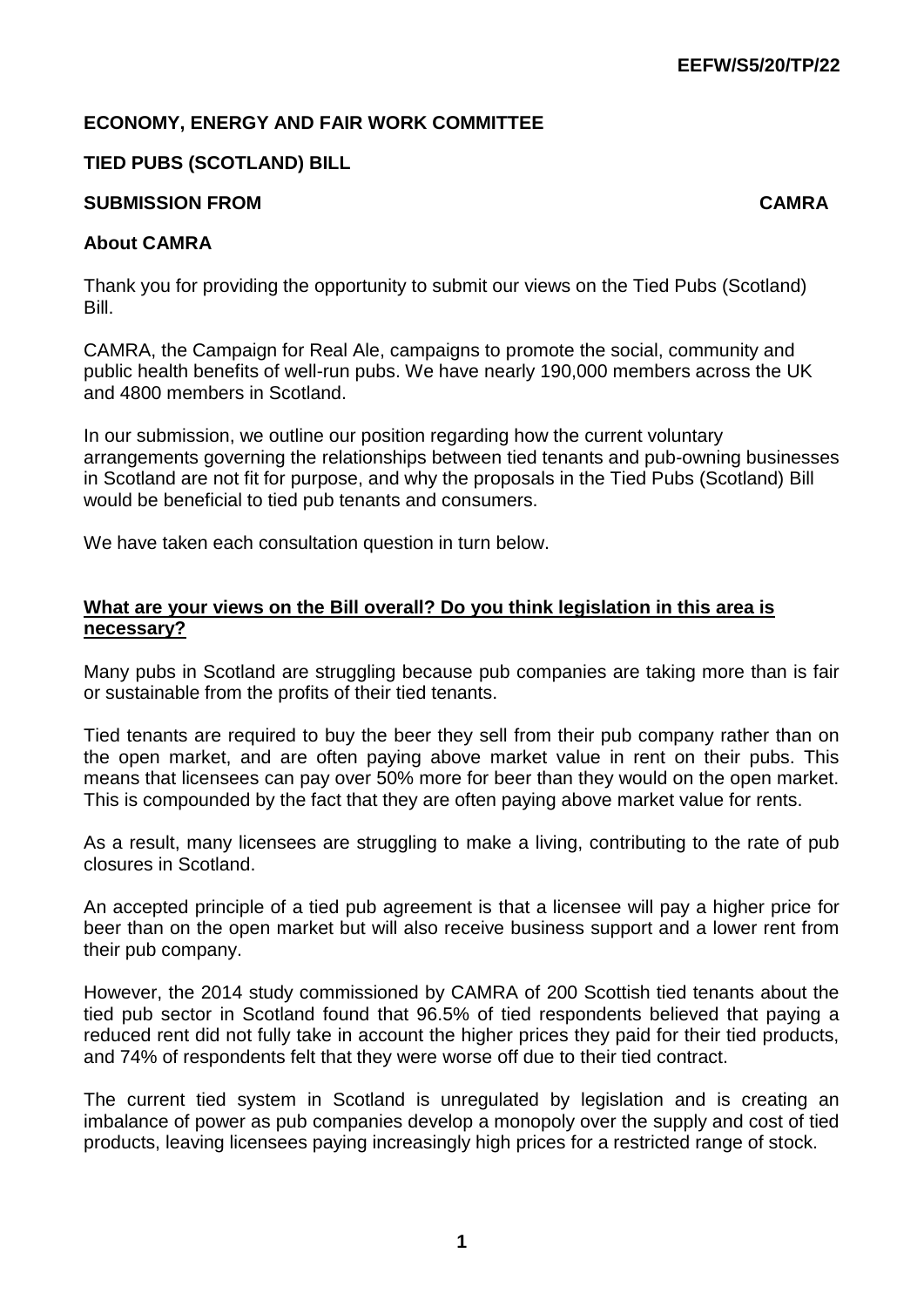## **ECONOMY, ENERGY AND FAIR WORK COMMITTEE**

# **TIED PUBS (SCOTLAND) BILL**

#### **SUBMISSION FROM CAMRA**

#### **About CAMRA**

Thank you for providing the opportunity to submit our views on the Tied Pubs (Scotland) Bill.

CAMRA, the Campaign for Real Ale, campaigns to promote the social, community and public health benefits of well-run pubs. We have nearly 190,000 members across the UK and 4800 members in Scotland.

In our submission, we outline our position regarding how the current voluntary arrangements governing the relationships between tied tenants and pub-owning businesses in Scotland are not fit for purpose, and why the proposals in the Tied Pubs (Scotland) Bill would be beneficial to tied pub tenants and consumers.

We have taken each consultation question in turn below.

## **What are your views on the Bill overall? Do you think legislation in this area is necessary?**

Many pubs in Scotland are struggling because pub companies are taking more than is fair or sustainable from the profits of their tied tenants.

Tied tenants are required to buy the beer they sell from their pub company rather than on the open market, and are often paying above market value in rent on their pubs. This means that licensees can pay over 50% more for beer than they would on the open market. This is compounded by the fact that they are often paying above market value for rents.

As a result, many licensees are struggling to make a living, contributing to the rate of pub closures in Scotland.

An accepted principle of a tied pub agreement is that a licensee will pay a higher price for beer than on the open market but will also receive business support and a lower rent from their pub company.

However, the 2014 study commissioned by CAMRA of 200 Scottish tied tenants about the tied pub sector in Scotland found that 96.5% of tied respondents believed that paying a reduced rent did not fully take in account the higher prices they paid for their tied products, and 74% of respondents felt that they were worse off due to their tied contract.

The current tied system in Scotland is unregulated by legislation and is creating an imbalance of power as pub companies develop a monopoly over the supply and cost of tied products, leaving licensees paying increasingly high prices for a restricted range of stock.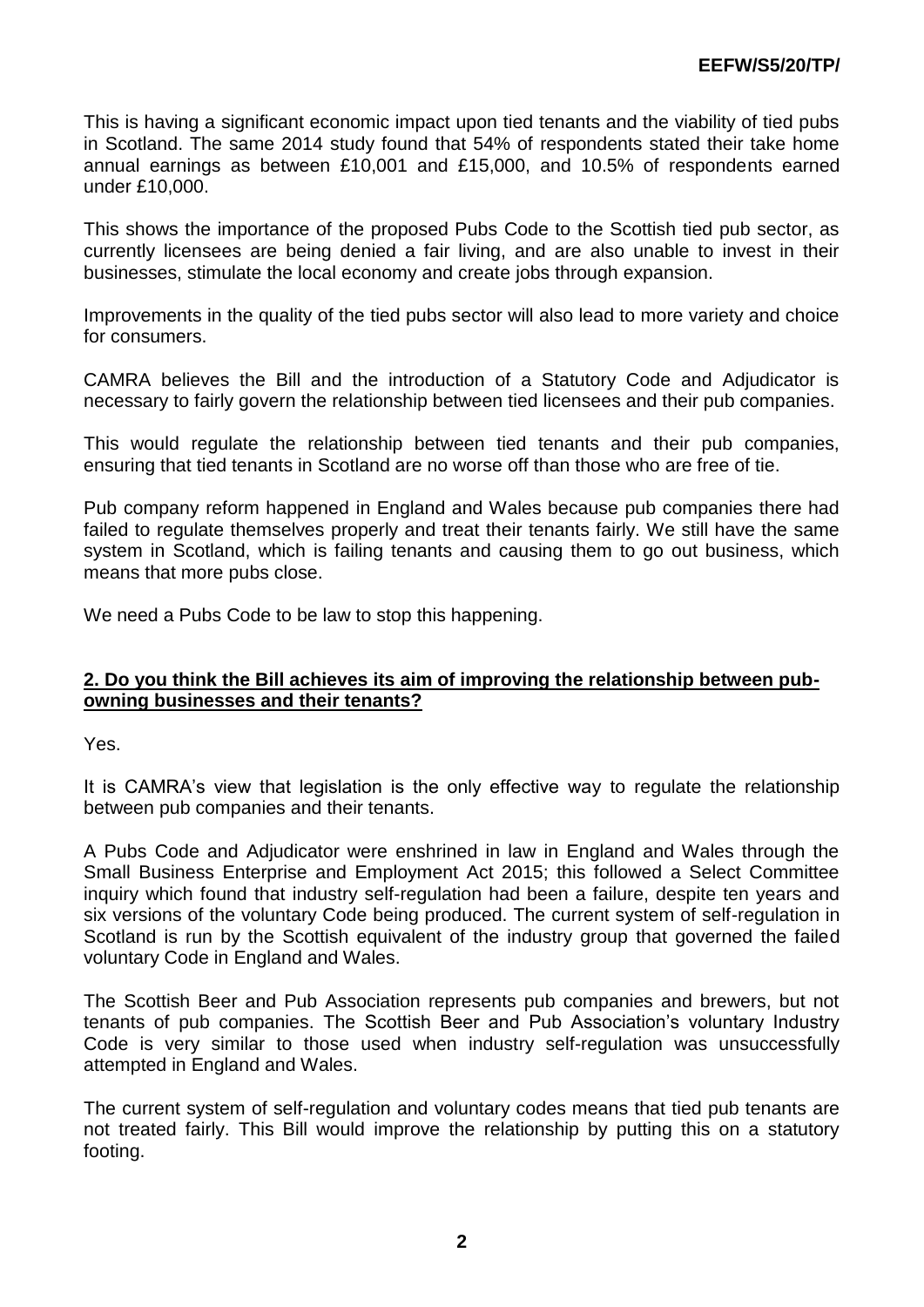This is having a significant economic impact upon tied tenants and the viability of tied pubs in Scotland. The same 2014 study found that 54% of respondents stated their take home annual earnings as between £10,001 and £15,000, and 10.5% of respondents earned under £10,000.

This shows the importance of the proposed Pubs Code to the Scottish tied pub sector, as currently licensees are being denied a fair living, and are also unable to invest in their businesses, stimulate the local economy and create jobs through expansion.

Improvements in the quality of the tied pubs sector will also lead to more variety and choice for consumers.

CAMRA believes the Bill and the introduction of a Statutory Code and Adjudicator is necessary to fairly govern the relationship between tied licensees and their pub companies.

This would regulate the relationship between tied tenants and their pub companies, ensuring that tied tenants in Scotland are no worse off than those who are free of tie.

Pub company reform happened in England and Wales because pub companies there had failed to regulate themselves properly and treat their tenants fairly. We still have the same system in Scotland, which is failing tenants and causing them to go out business, which means that more pubs close.

We need a Pubs Code to be law to stop this happening.

# **2. Do you think the Bill achieves its aim of improving the relationship between pubowning businesses and their tenants?**

Yes.

It is CAMRA's view that legislation is the only effective way to regulate the relationship between pub companies and their tenants.

A Pubs Code and Adjudicator were enshrined in law in England and Wales through the Small Business Enterprise and Employment Act 2015; this followed a Select Committee inquiry which found that industry self-regulation had been a failure, despite ten years and six versions of the voluntary Code being produced. The current system of self-regulation in Scotland is run by the Scottish equivalent of the industry group that governed the failed voluntary Code in England and Wales.

The Scottish Beer and Pub Association represents pub companies and brewers, but not tenants of pub companies. The Scottish Beer and Pub Association"s voluntary Industry Code is very similar to those used when industry self-regulation was unsuccessfully attempted in England and Wales.

The current system of self-regulation and voluntary codes means that tied pub tenants are not treated fairly. This Bill would improve the relationship by putting this on a statutory footing.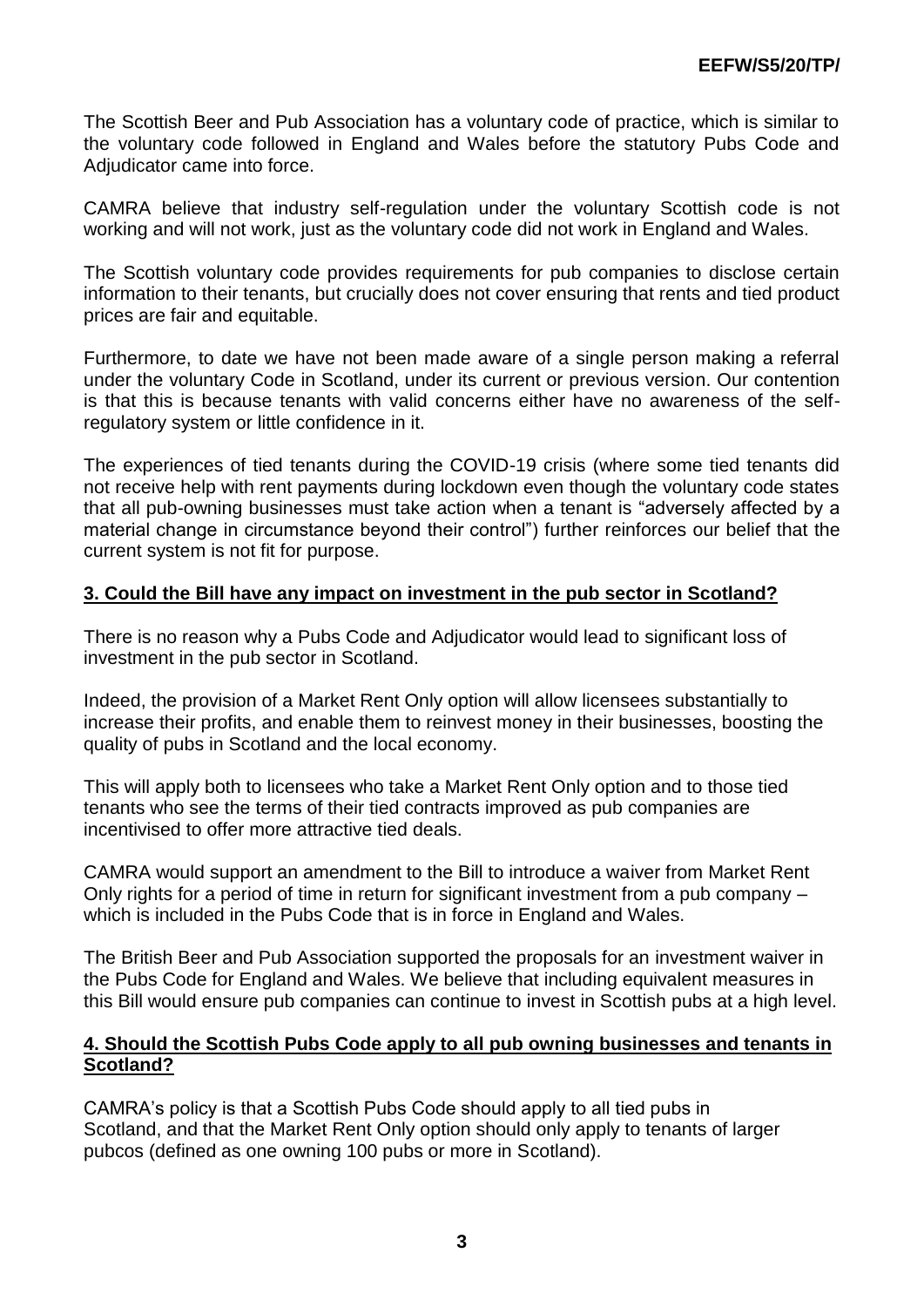The Scottish Beer and Pub Association has a voluntary code of practice, which is similar to the voluntary code followed in England and Wales before the statutory Pubs Code and Adjudicator came into force.

CAMRA believe that industry self-regulation under the voluntary Scottish code is not working and will not work, just as the voluntary code did not work in England and Wales.

The Scottish voluntary code provides requirements for pub companies to disclose certain information to their tenants, but crucially does not cover ensuring that rents and tied product prices are fair and equitable.

Furthermore, to date we have not been made aware of a single person making a referral under the voluntary Code in Scotland, under its current or previous version. Our contention is that this is because tenants with valid concerns either have no awareness of the selfregulatory system or little confidence in it.

The experiences of tied tenants during the COVID-19 crisis (where some tied tenants did not receive help with rent payments during lockdown even though the voluntary code states that all pub-owning businesses must take action when a tenant is "adversely affected by a material change in circumstance beyond their control") further reinforces our belief that the current system is not fit for purpose.

# **3. Could the Bill have any impact on investment in the pub sector in Scotland?**

There is no reason why a Pubs Code and Adjudicator would lead to significant loss of investment in the pub sector in Scotland.

Indeed, the provision of a Market Rent Only option will allow licensees substantially to increase their profits, and enable them to reinvest money in their businesses, boosting the quality of pubs in Scotland and the local economy.

This will apply both to licensees who take a Market Rent Only option and to those tied tenants who see the terms of their tied contracts improved as pub companies are incentivised to offer more attractive tied deals.

CAMRA would support an amendment to the Bill to introduce a waiver from Market Rent Only rights for a period of time in return for significant investment from a pub company – which is included in the Pubs Code that is in force in England and Wales.

The British Beer and Pub Association supported the proposals for an investment waiver in the Pubs Code for England and Wales. We believe that including equivalent measures in this Bill would ensure pub companies can continue to invest in Scottish pubs at a high level.

## **4. Should the Scottish Pubs Code apply to all pub owning businesses and tenants in Scotland?**

CAMRA"s policy is that a Scottish Pubs Code should apply to all tied pubs in Scotland, and that the Market Rent Only option should only apply to tenants of larger pubcos (defined as one owning 100 pubs or more in Scotland).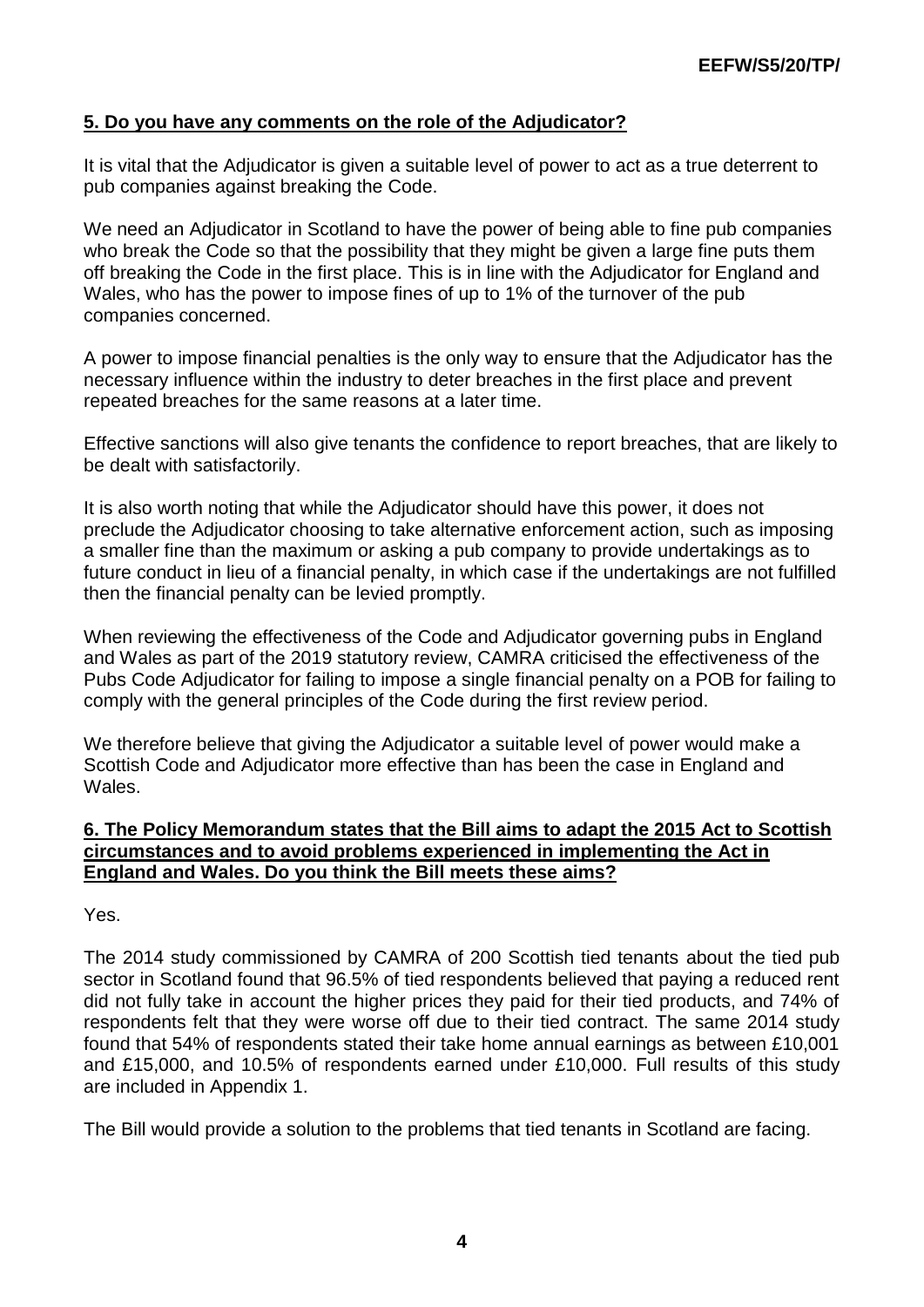# **5. Do you have any comments on the role of the Adjudicator?**

It is vital that the Adjudicator is given a suitable level of power to act as a true deterrent to pub companies against breaking the Code.

We need an Adjudicator in Scotland to have the power of being able to fine pub companies who break the Code so that the possibility that they might be given a large fine puts them off breaking the Code in the first place. This is in line with the Adjudicator for England and Wales, who has the power to impose fines of up to 1% of the turnover of the pub companies concerned.

A power to impose financial penalties is the only way to ensure that the Adjudicator has the necessary influence within the industry to deter breaches in the first place and prevent repeated breaches for the same reasons at a later time.

Effective sanctions will also give tenants the confidence to report breaches, that are likely to be dealt with satisfactorily.

It is also worth noting that while the Adjudicator should have this power, it does not preclude the Adjudicator choosing to take alternative enforcement action, such as imposing a smaller fine than the maximum or asking a pub company to provide undertakings as to future conduct in lieu of a financial penalty, in which case if the undertakings are not fulfilled then the financial penalty can be levied promptly.

When reviewing the effectiveness of the Code and Adjudicator governing pubs in England and Wales as part of the 2019 statutory review, CAMRA criticised the effectiveness of the Pubs Code Adjudicator for failing to impose a single financial penalty on a POB for failing to comply with the general principles of the Code during the first review period.

We therefore believe that giving the Adjudicator a suitable level of power would make a Scottish Code and Adjudicator more effective than has been the case in England and Wales.

## **6. The [Policy Memorandum](https://www.parliament.scot/S5_Bills/Tied%20Pubs%20(Scotland)%20Bill/SPBill62PMS052019.pdf) states that the Bill aims to adapt the 2015 Act to Scottish circumstances and to avoid problems experienced in implementing the Act in England and Wales. Do you think the Bill meets these aims?**

Yes.

The 2014 study commissioned by CAMRA of 200 Scottish tied tenants about the tied pub sector in Scotland found that 96.5% of tied respondents believed that paying a reduced rent did not fully take in account the higher prices they paid for their tied products, and 74% of respondents felt that they were worse off due to their tied contract. The same 2014 study found that 54% of respondents stated their take home annual earnings as between £10,001 and £15,000, and 10.5% of respondents earned under £10,000. Full results of this study are included in Appendix 1.

The Bill would provide a solution to the problems that tied tenants in Scotland are facing.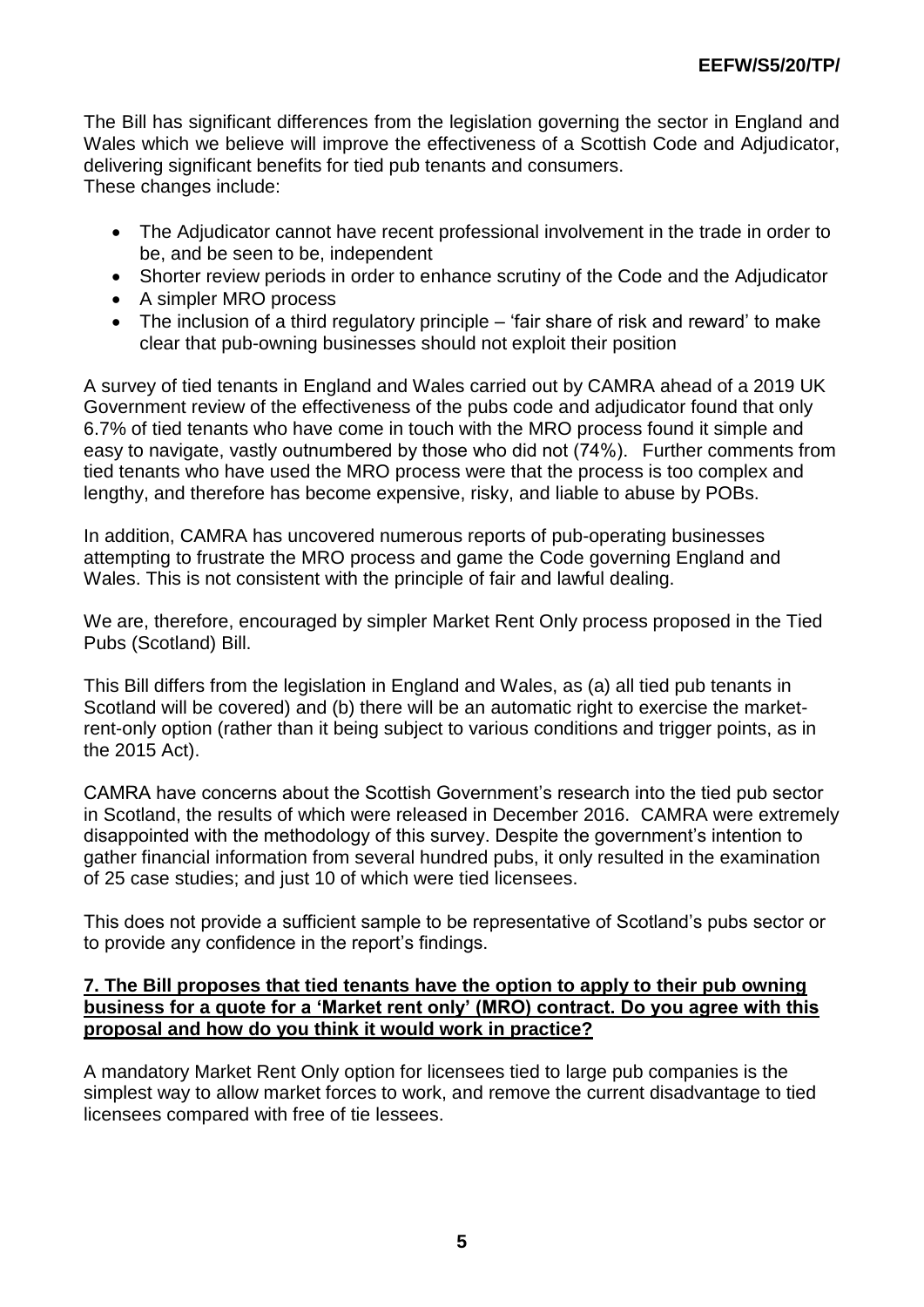The Bill has significant differences from the legislation governing the sector in England and Wales which we believe will improve the effectiveness of a Scottish Code and Adjudicator, delivering significant benefits for tied pub tenants and consumers. These changes include:

- The Adjudicator cannot have recent professional involvement in the trade in order to be, and be seen to be, independent
- Shorter review periods in order to enhance scrutiny of the Code and the Adjudicator
- A simpler MRO process
- The inclusion of a third regulatory principle 'fair share of risk and reward' to make clear that pub-owning businesses should not exploit their position

A survey of tied tenants in England and Wales carried out by CAMRA ahead of a 2019 UK Government review of the effectiveness of the pubs code and adjudicator found that only 6.7% of tied tenants who have come in touch with the MRO process found it simple and easy to navigate, vastly outnumbered by those who did not (74%).  Further comments from tied tenants who have used the MRO process were that the process is too complex and lengthy, and therefore has become expensive, risky, and liable to abuse by POBs.

In addition, CAMRA has uncovered numerous reports of pub-operating businesses attempting to frustrate the MRO process and game the Code governing England and Wales. This is not consistent with the principle of fair and lawful dealing.

We are, therefore, encouraged by simpler Market Rent Only process proposed in the Tied Pubs (Scotland) Bill.

This Bill differs from the legislation in England and Wales, as (a) all tied pub tenants in Scotland will be covered) and (b) there will be an automatic right to exercise the marketrent-only option (rather than it being subject to various conditions and trigger points, as in the 2015 Act).

CAMRA have concerns about the Scottish Government"s research into the tied pub sector in Scotland, the results of which were released in December 2016. CAMRA were extremely disappointed with the methodology of this survey. Despite the government"s intention to gather financial information from several hundred pubs, it only resulted in the examination of 25 case studies; and just 10 of which were tied licensees.

This does not provide a sufficient sample to be representative of Scotland"s pubs sector or to provide any confidence in the report's findings.

#### **7. The Bill proposes that tied tenants have the option to apply to their pub owning business for a quote for a 'Market rent only' (MRO) contract. Do you agree with this proposal and how do you think it would work in practice?**

A mandatory Market Rent Only option for licensees tied to large pub companies is the simplest way to allow market forces to work, and remove the current disadvantage to tied licensees compared with free of tie lessees.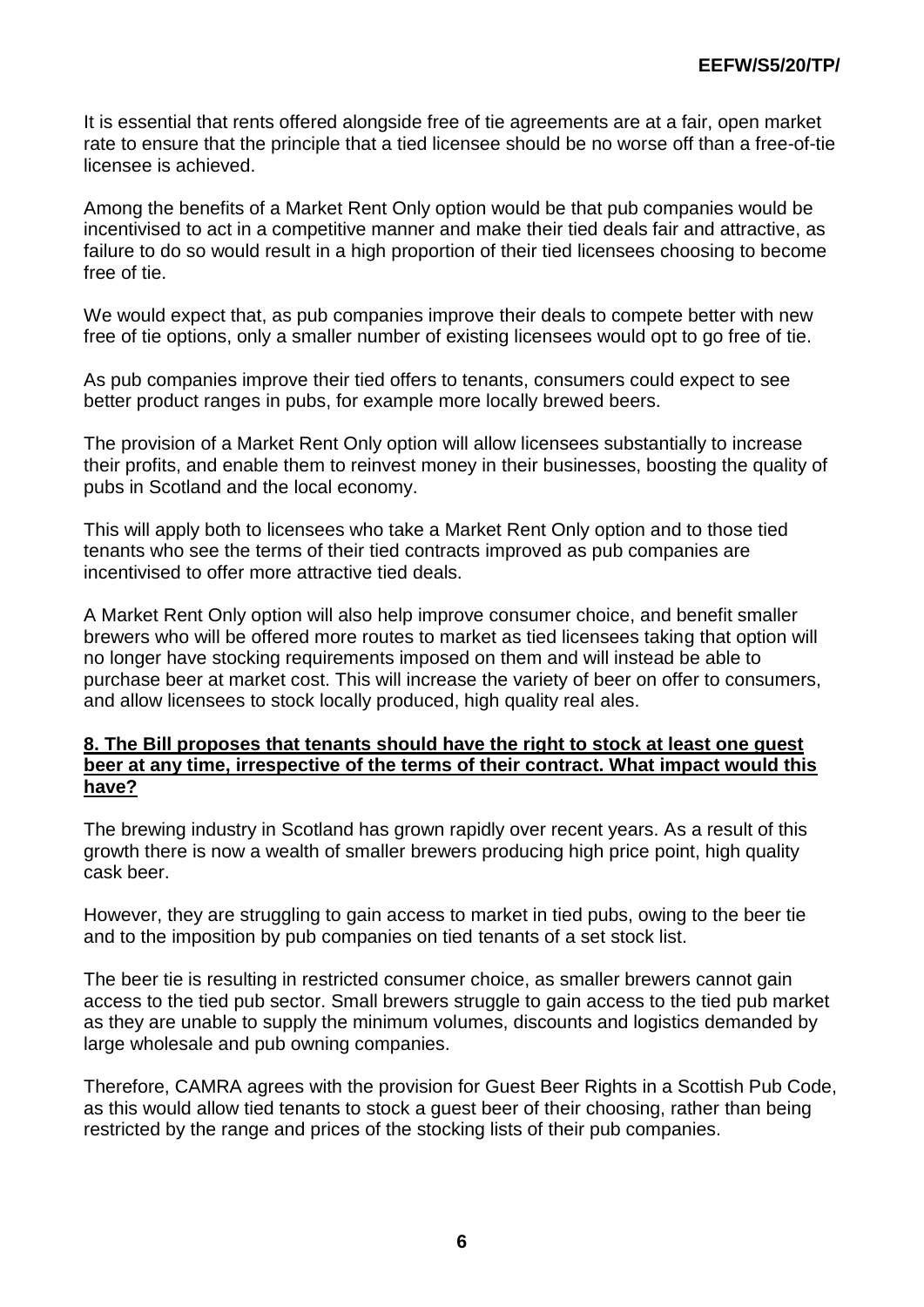It is essential that rents offered alongside free of tie agreements are at a fair, open market rate to ensure that the principle that a tied licensee should be no worse off than a free-of-tie licensee is achieved.

Among the benefits of a Market Rent Only option would be that pub companies would be incentivised to act in a competitive manner and make their tied deals fair and attractive, as failure to do so would result in a high proportion of their tied licensees choosing to become free of tie.

We would expect that, as pub companies improve their deals to compete better with new free of tie options, only a smaller number of existing licensees would opt to go free of tie.

As pub companies improve their tied offers to tenants, consumers could expect to see better product ranges in pubs, for example more locally brewed beers.

The provision of a Market Rent Only option will allow licensees substantially to increase their profits, and enable them to reinvest money in their businesses, boosting the quality of pubs in Scotland and the local economy.

This will apply both to licensees who take a Market Rent Only option and to those tied tenants who see the terms of their tied contracts improved as pub companies are incentivised to offer more attractive tied deals.

A Market Rent Only option will also help improve consumer choice, and benefit smaller brewers who will be offered more routes to market as tied licensees taking that option will no longer have stocking requirements imposed on them and will instead be able to purchase beer at market cost. This will increase the variety of beer on offer to consumers, and allow licensees to stock locally produced, high quality real ales.

#### **8. The Bill proposes that tenants should have the right to stock at least one guest beer at any time, irrespective of the terms of their contract. What impact would this have?**

The brewing industry in Scotland has grown rapidly over recent years. As a result of this growth there is now a wealth of smaller brewers producing high price point, high quality cask beer.

However, they are struggling to gain access to market in tied pubs, owing to the beer tie and to the imposition by pub companies on tied tenants of a set stock list.

The beer tie is resulting in restricted consumer choice, as smaller brewers cannot gain access to the tied pub sector. Small brewers struggle to gain access to the tied pub market as they are unable to supply the minimum volumes, discounts and logistics demanded by large wholesale and pub owning companies.

Therefore, CAMRA agrees with the provision for Guest Beer Rights in a Scottish Pub Code, as this would allow tied tenants to stock a guest beer of their choosing, rather than being restricted by the range and prices of the stocking lists of their pub companies.